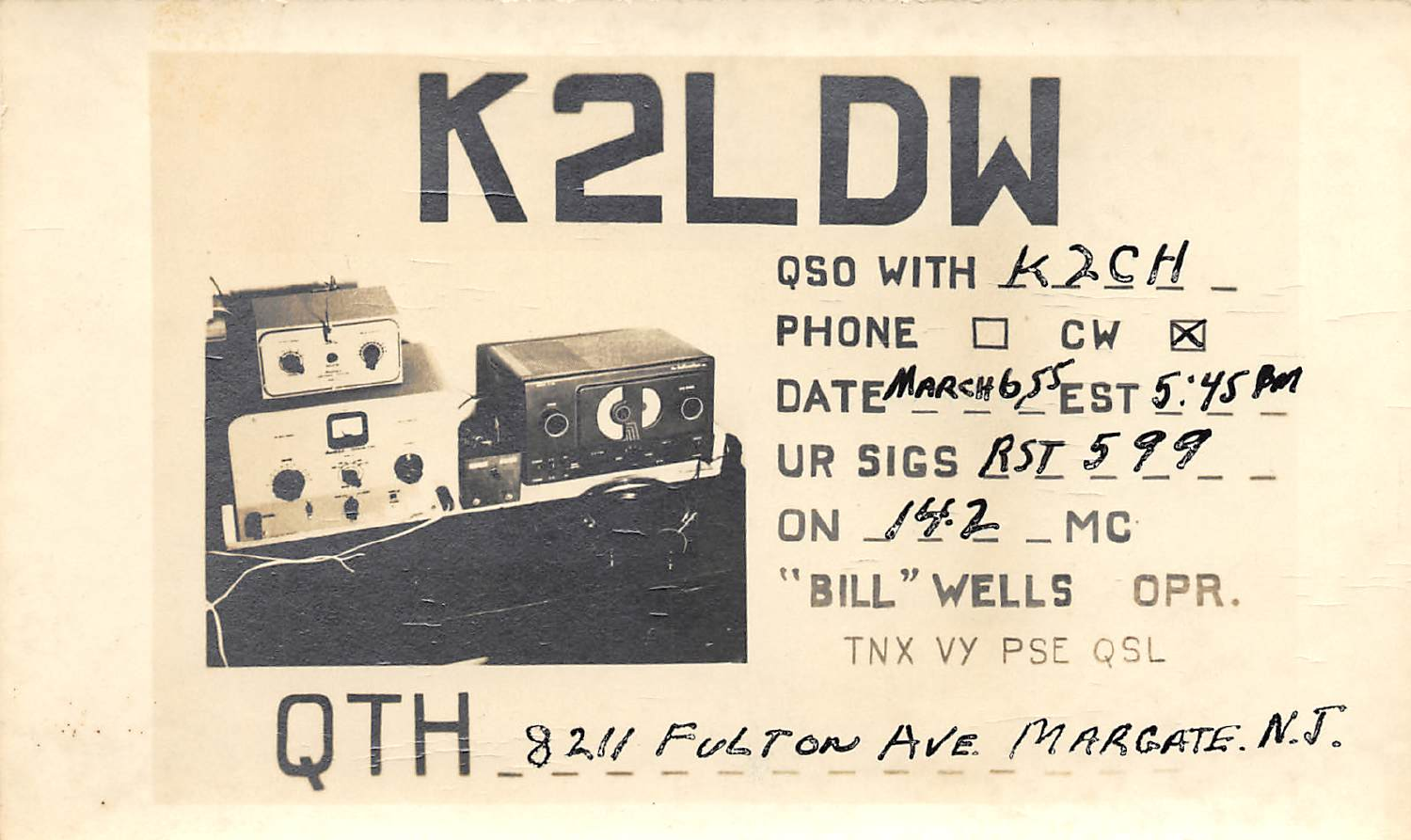

OSO WITH K2CH PHONE O CW X DATEMARCH 65EST 5:45 BM UR SIGS RST 599 ON 142 MC "BILL" WELLS OPR. TNX VY PSE QSL

0 8211 FULTON AVE MARGATE. N.J.

2 DW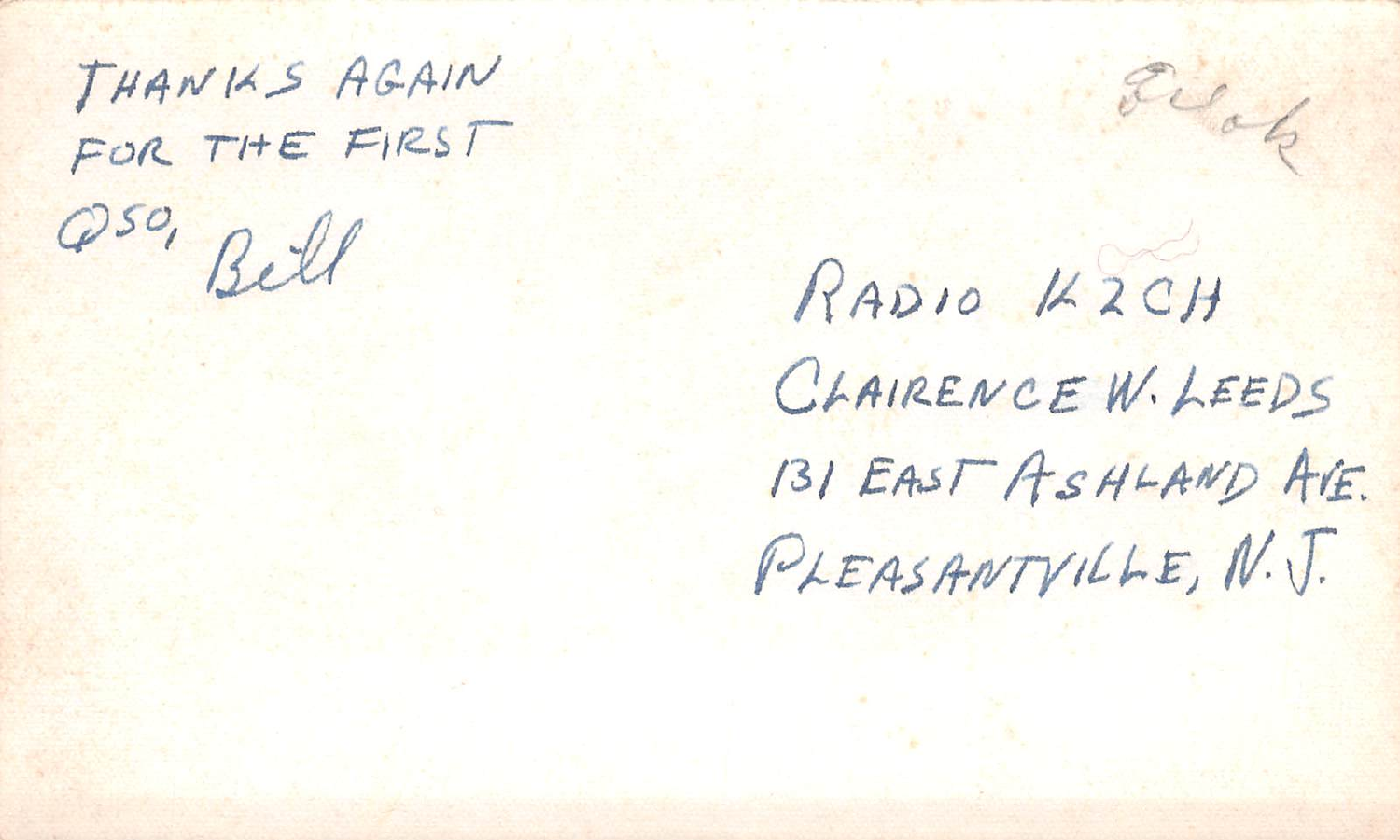THANKS AGAIN FOR THE FIRST

250, Bell

RADIO KZCH CLAIRENCE W. LEEDS 131 EAST ASHLAND AVE. PLEASANTVILLE, N.J.

Elah